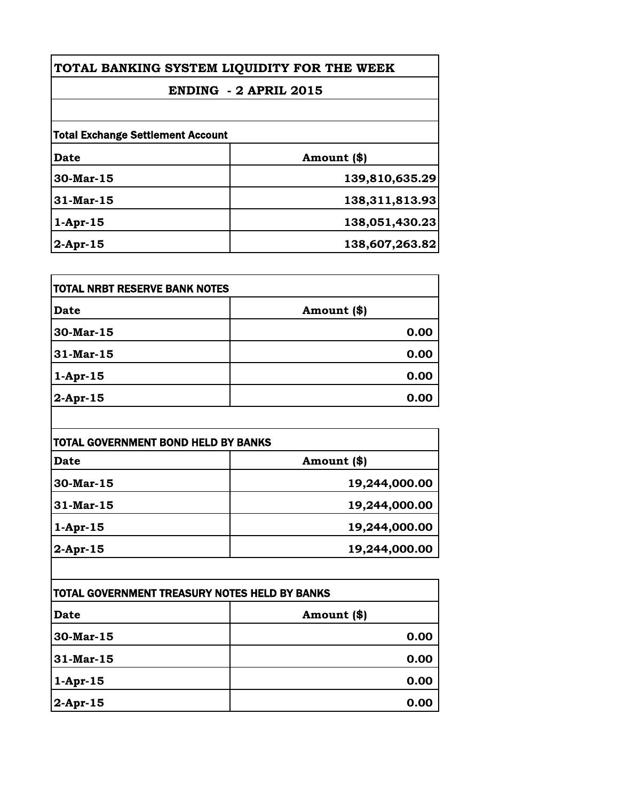| TOTAL BANKING SYSTEM LIQUIDITY FOR THE WEEK<br>ENDING - 2 APRIL 2015<br><b>Total Exchange Settlement Account</b> |                |              |                   |
|------------------------------------------------------------------------------------------------------------------|----------------|--------------|-------------------|
|                                                                                                                  |                | Date         | Amount (\$)       |
|                                                                                                                  |                | $30$ -Mar-15 | 139,810,635.29    |
|                                                                                                                  |                | 31-Mar-15    | 138, 311, 813. 93 |
| $1-Apr-15$                                                                                                       | 138,051,430.23 |              |                   |
| $2$ -Apr-15                                                                                                      | 138,607,263.82 |              |                   |

| <b>TOTAL NRBT RESERVE BANK NOTES</b> |               |
|--------------------------------------|---------------|
| <b>Date</b>                          | Amount $(\$)$ |
| $30$ -Mar-15                         | 0.00          |
| 31-Mar-15                            | 0.00          |
| $1-Apr-15$                           | 0.00          |
| $ 2$ -Apr-15                         | 0.00          |

| TOTAL GOVERNMENT BOND HELD BY BANKS |               |
|-------------------------------------|---------------|
| Date                                | Amount (\$)   |
| 30-Mar-15                           | 19,244,000.00 |
| 31-Mar-15                           | 19,244,000.00 |
| $1-Apr-15$                          | 19,244,000.00 |
| $2$ -Apr-15                         | 19,244,000.00 |

| <b>TOTAL GOVERNMENT TREASURY NOTES HELD BY BANKS</b> |             |
|------------------------------------------------------|-------------|
| <b>Date</b>                                          | Amount (\$) |
| 30-Mar-15                                            | 0.00        |
| 31-Mar-15                                            | 0.00        |
| $1-Apr-15$                                           | 0.00        |
| $2$ -Apr-15                                          | 0.00        |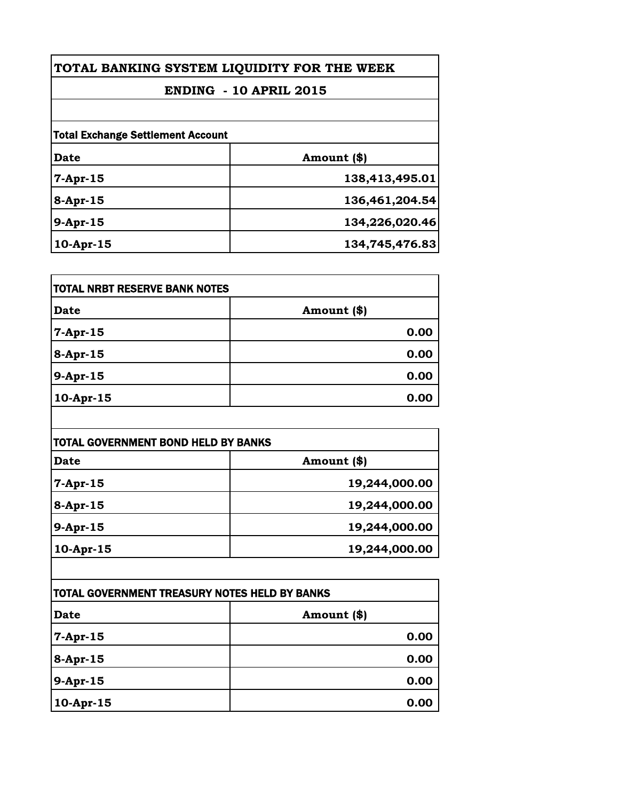| TOTAL BANKING SYSTEM LIQUIDITY FOR THE WEEK |                |
|---------------------------------------------|----------------|
| <b>ENDING - 10 APRIL 2015</b>               |                |
|                                             |                |
| Date                                        | Amount (\$)    |
| $7-Apr-15$                                  | 138,413,495.01 |
| 8-Apr-15                                    | 136,461,204.54 |
| $9-Apr-15$                                  | 134,226,020.46 |
| $10-Apr-15$                                 | 134,745,476.83 |

| <b>TOTAL NRBT RESERVE BANK NOTES</b> |              |
|--------------------------------------|--------------|
| <b>Date</b>                          | Amount $(*)$ |
| 7-Apr-15                             | 0.00         |
| $8 -$ Apr-15                         | 0.00         |
| 9-Apr-15                             | 0.00         |
| 10-Apr-15                            | 0.00         |

| TOTAL GOVERNMENT BOND HELD BY BANKS |               |
|-------------------------------------|---------------|
| <b>Date</b>                         | Amount (\$)   |
| 7-Apr-15                            | 19,244,000.00 |
| $8-Apr-15$                          | 19,244,000.00 |
| 9-Apr-15                            | 19,244,000.00 |
| $10$ -Apr-15                        | 19,244,000.00 |

| <b>TOTAL GOVERNMENT TREASURY NOTES HELD BY BANKS</b> |              |
|------------------------------------------------------|--------------|
| <b>Date</b>                                          | Amount $(*)$ |
| 7-Apr-15                                             | 0.00         |
| 8-Apr-15                                             | 0.00         |
| 9-Apr-15                                             | 0.00         |
| 10-Apr-15                                            | 0.00         |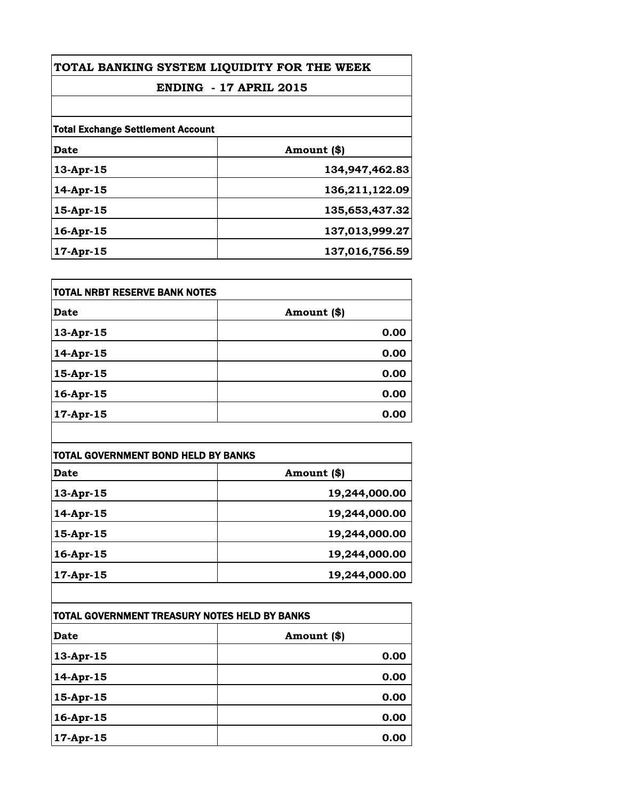| TOTAL BANKING SYSTEM LIQUIDITY FOR THE WEEK<br><b>ENDING - 17 APRIL 2015</b><br><b>Total Exchange Settlement Account</b> |                |              |                |
|--------------------------------------------------------------------------------------------------------------------------|----------------|--------------|----------------|
|                                                                                                                          |                | Date         | Amount (\$)    |
|                                                                                                                          |                | 13-Apr-15    | 134,947,462.83 |
|                                                                                                                          |                | $14$ -Apr-15 | 136,211,122.09 |
| 15-Apr-15                                                                                                                | 135,653,437.32 |              |                |
| 16-Apr-15                                                                                                                | 137,013,999.27 |              |                |
| 17-Apr-15                                                                                                                | 137,016,756.59 |              |                |

| <b>TOTAL NRBT RESERVE BANK NOTES</b> |             |
|--------------------------------------|-------------|
| <b>Date</b>                          | Amount (\$) |
| 13-Apr-15                            | 0.00        |
| 14-Apr-15                            | 0.00        |
| 15-Apr-15                            | 0.00        |
| 16-Apr-15                            | 0.00        |
| 17-Apr-15                            | 0.00        |

| <b>TOTAL GOVERNMENT BOND HELD BY BANKS</b> |               |
|--------------------------------------------|---------------|
| <b>Date</b>                                | Amount (\$)   |
| $13$ -Apr-15                               | 19,244,000.00 |
| 14-Apr-15                                  | 19,244,000.00 |
| 15-Apr-15                                  | 19,244,000.00 |
| 16-Apr-15                                  | 19,244,000.00 |
| $17 - Apr - 15$                            | 19,244,000.00 |

| TOTAL GOVERNMENT TREASURY NOTES HELD BY BANKS |             |
|-----------------------------------------------|-------------|
| <b>Date</b>                                   | Amount (\$) |
| 13-Apr-15                                     | 0.00        |
| 14-Apr-15                                     | 0.00        |
| 15-Apr-15                                     | 0.00        |
| 16-Apr-15                                     | 0.00        |
| 17-Apr-15                                     | 0.00        |